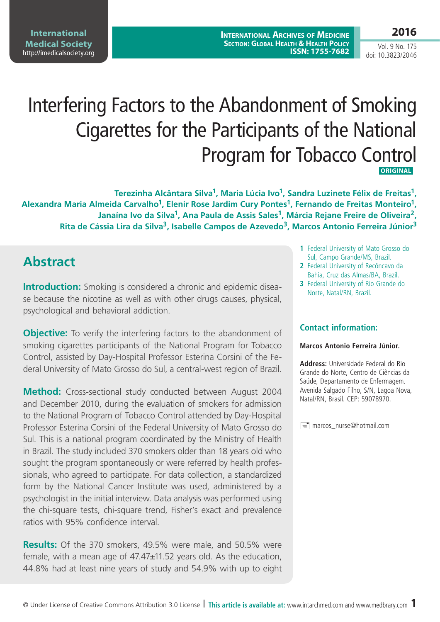**2016**

Vol. 9 No. 175 doi: 10.3823/2046

# Interfering Factors to the Abandonment of Smoking Cigarettes for the Participants of the National Program for Tobacco Control **ORIGINAL**

**Terezinha Alcântara Silva1, Maria Lúcia Ivo1, Sandra Luzinete Félix de Freitas1, Alexandra Maria Almeida Carvalho1, Elenir Rose Jardim Cury Pontes1, Fernando de Freitas Monteiro1, Janaína Ivo da Silva1, Ana Paula de Assis Sales1, Márcia Rejane Freire de Oliveira2, Rita de Cássia Lira da Silva3, Isabelle Campos de Azevedo3, Marcos Antonio Ferreira Júnior3**

# **Abstract**

**Introduction:** Smoking is considered a chronic and epidemic disease because the nicotine as well as with other drugs causes, physical, psychological and behavioral addiction.

**Objective:** To verify the interfering factors to the abandonment of smoking cigarettes participants of the National Program for Tobacco Control, assisted by Day-Hospital Professor Esterina Corsini of the Federal University of Mato Grosso do Sul, a central-west region of Brazil.

**Method:** Cross-sectional study conducted between August 2004 and December 2010, during the evaluation of smokers for admission to the National Program of Tobacco Control attended by Day-Hospital Professor Esterina Corsini of the Federal University of Mato Grosso do Sul. This is a national program coordinated by the Ministry of Health in Brazil. The study included 370 smokers older than 18 years old who sought the program spontaneously or were referred by health professionals, who agreed to participate. For data collection, a standardized form by the National Cancer Institute was used, administered by a psychologist in the initial interview. Data analysis was performed using the chi-square tests, chi-square trend, Fisher's exact and prevalence ratios with 95% confidence interval.

**Results:** Of the 370 smokers, 49.5% were male, and 50.5% were female, with a mean age of 47.47±11.52 years old. As the education, 44.8% had at least nine years of study and 54.9% with up to eight

- **1** Federal University of Mato Grosso do Sul, Campo Grande/MS, Brazil.
- **2** Federal University of Recôncavo da Bahia, Cruz das Almas/BA, Brazil.
- **3** Federal University of Rio Grande do Norte, Natal/RN, Brazil.

#### **Contact information:**

#### **Marcos Antonio Ferreira Júnior.**

**Address:** Universidade Federal do Rio Grande do Norte, Centro de Ciências da Saúde, Departamento de Enfermagem. Avenida Salgado Filho, S/N, Lagoa Nova, Natal/RN, Brasil. CEP: 59078970.

marcos\_nurse@hotmail.com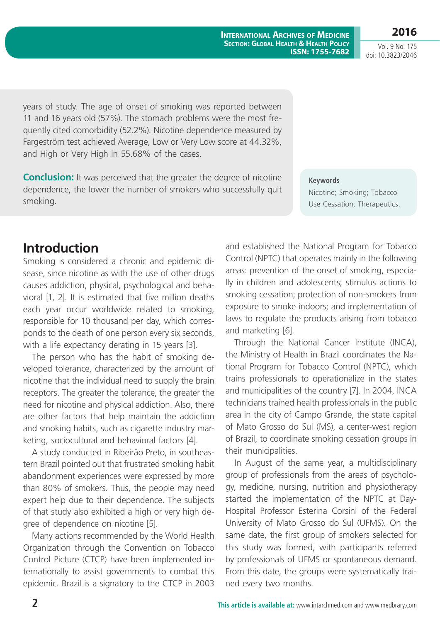**International Archives of Medicine Section: Global Health & Health Policy ISSN: 1755-7682**

**2016** Vol. 9 No. 175 doi: 10.3823/2046

years of study. The age of onset of smoking was reported between 11 and 16 years old (57%). The stomach problems were the most frequently cited comorbidity (52.2%). Nicotine dependence measured by Fargeström test achieved Average, Low or Very Low score at 44.32%, and High or Very High in 55.68% of the cases.

**Conclusion:** It was perceived that the greater the degree of nicotine dependence, the lower the number of smokers who successfully quit smoking.

#### **Keywords**

Nicotine; Smoking; Tobacco Use Cessation; Therapeutics.

### **Introduction**

Smoking is considered a chronic and epidemic disease, since nicotine as with the use of other drugs causes addiction, physical, psychological and behavioral [1, 2]. It is estimated that five million deaths each year occur worldwide related to smoking, responsible for 10 thousand per day, which corresponds to the death of one person every six seconds, with a life expectancy derating in 15 years [3].

The person who has the habit of smoking developed tolerance, characterized by the amount of nicotine that the individual need to supply the brain receptors. The greater the tolerance, the greater the need for nicotine and physical addiction. Also, there are other factors that help maintain the addiction and smoking habits, such as cigarette industry marketing, sociocultural and behavioral factors [4].

A study conducted in Ribeirão Preto, in southeastern Brazil pointed out that frustrated smoking habit abandonment experiences were expressed by more than 80% of smokers. Thus, the people may need expert help due to their dependence. The subjects of that study also exhibited a high or very high degree of dependence on nicotine [5].

Many actions recommended by the World Health Organization through the Convention on Tobacco Control Picture (CTCP) have been implemented internationally to assist governments to combat this epidemic. Brazil is a signatory to the CTCP in 2003 and established the National Program for Tobacco Control (NPTC) that operates mainly in the following areas: prevention of the onset of smoking, especially in children and adolescents; stimulus actions to smoking cessation; protection of non-smokers from exposure to smoke indoors; and implementation of laws to regulate the products arising from tobacco and marketing [6].

Through the National Cancer Institute (INCA), the Ministry of Health in Brazil coordinates the National Program for Tobacco Control (NPTC), which trains professionals to operationalize in the states and municipalities of the country [7]. In 2004, INCA technicians trained health professionals in the public area in the city of Campo Grande, the state capital of Mato Grosso do Sul (MS), a center-west region of Brazil, to coordinate smoking cessation groups in their municipalities.

In August of the same year, a multidisciplinary group of professionals from the areas of psychology, medicine, nursing, nutrition and physiotherapy started the implementation of the NPTC at Day-Hospital Professor Esterina Corsini of the Federal University of Mato Grosso do Sul (UFMS). On the same date, the first group of smokers selected for this study was formed, with participants referred by professionals of UFMS or spontaneous demand. From this date, the groups were systematically trained every two months.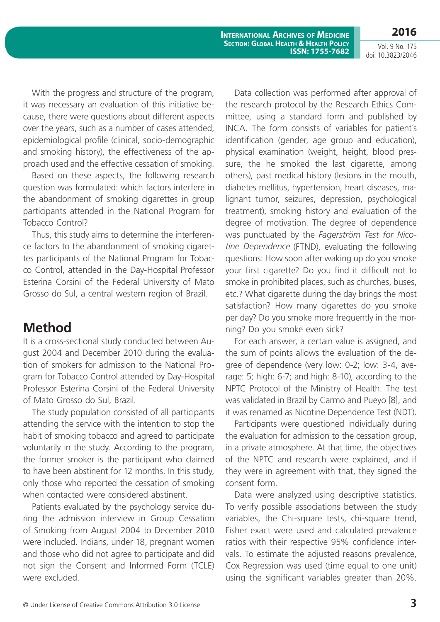**2016**

Vol. 9 No. 175 doi: 10.3823/2046

With the progress and structure of the program, it was necessary an evaluation of this initiative because, there were questions about different aspects over the years, such as a number of cases attended, epidemiological profile (clinical, socio-demographic and smoking history), the effectiveness of the approach used and the effective cessation of smoking.

Based on these aspects, the following research question was formulated: which factors interfere in the abandonment of smoking cigarettes in group participants attended in the National Program for Tobacco Control?

Thus, this study aims to determine the interference factors to the abandonment of smoking cigarettes participants of the National Program for Tobacco Control, attended in the Day-Hospital Professor Esterina Corsini of the Federal University of Mato Grosso do Sul, a central western region of Brazil.

# **Method**

It is a cross-sectional study conducted between August 2004 and December 2010 during the evaluation of smokers for admission to the National Program for Tobacco Control attended by Day-Hospital Professor Esterina Corsini of the Federal University of Mato Grosso do Sul, Brazil.

The study population consisted of all participants attending the service with the intention to stop the habit of smoking tobacco and agreed to participate voluntarily in the study. According to the program, the former smoker is the participant who claimed to have been abstinent for 12 months. In this study, only those who reported the cessation of smoking when contacted were considered abstinent.

Patients evaluated by the psychology service during the admission interview in Group Cessation of Smoking from August 2004 to December 2010 were included. Indians, under 18, pregnant women and those who did not agree to participate and did not sign the Consent and Informed Form (TCLE) were excluded.

Data collection was performed after approval of the research protocol by the Research Ethics Committee, using a standard form and published by INCA. The form consists of variables for patient´s identification (gender, age group and education), physical examination (weight, height, blood pressure, the he smoked the last cigarette, among others), past medical history (lesions in the mouth, diabetes mellitus, hypertension, heart diseases, malignant tumor, seizures, depression, psychological treatment), smoking history and evaluation of the degree of motivation. The degree of dependence was punctuated by the *Fagerström Test for Nicotine Dependence* (FTND), evaluating the following questions: How soon after waking up do you smoke your first cigarette? Do you find it difficult not to smoke in prohibited places, such as churches, buses, etc.? What cigarette during the day brings the most satisfaction? How many cigarettes do you smoke per day? Do you smoke more frequently in the morning? Do you smoke even sick?

For each answer, a certain value is assigned, and the sum of points allows the evaluation of the degree of dependence (very low: 0-2; low: 3-4, average: 5; high: 6-7; and high: 8-10), according to the NPTC Protocol of the Ministry of Health. The test was validated in Brazil by Carmo and Pueyo [8], and it was renamed as Nicotine Dependence Test (NDT).

Participants were questioned individually during the evaluation for admission to the cessation group, in a private atmosphere. At that time, the objectives of the NPTC and research were explained, and if they were in agreement with that, they signed the consent form.

Data were analyzed using descriptive statistics. To verify possible associations between the study variables, the Chi-square tests, chi-square trend, Fisher exact were used and calculated prevalence ratios with their respective 95% confidence intervals. To estimate the adjusted reasons prevalence, Cox Regression was used (time equal to one unit) using the significant variables greater than 20%.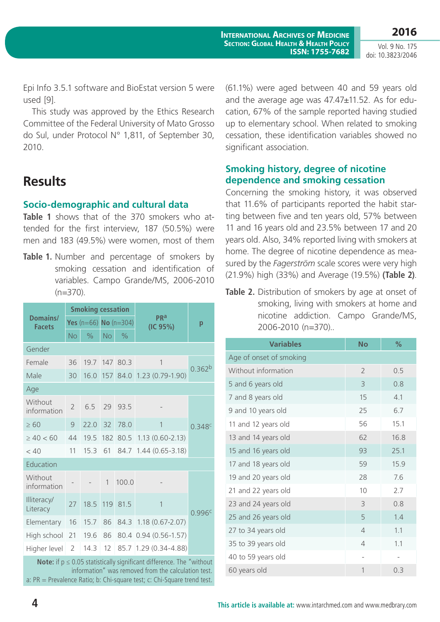**2016** Vol. 9 No. 175

doi: 10.3823/2046

Epi Info 3.5.1 software and BioEstat version 5 were used [9].

This study was approved by the Ethics Research Committee of the Federal University of Mato Grosso do Sul, under Protocol N° 1,811, of September 30, 2010.

# **Results**

#### **Socio-demographic and cultural data**

**Table 1** shows that of the 370 smokers who attended for the first interview, 187 (50.5%) were men and 183 (49.5%) were women, most of them

Table 1. Number and percentage of smokers by smoking cessation and identification of variables. Campo Grande/MS, 2006-2010  $(n=370)$ .

|                           | <b>Smoking cessation</b> |               |                           |               |                        |                    |
|---------------------------|--------------------------|---------------|---------------------------|---------------|------------------------|--------------------|
| Domains/<br><b>Facets</b> |                          |               | Yes $(n=66)$ No $(n=304)$ |               | <b>PRa</b><br>(IC 95%) | р                  |
|                           | <b>No</b>                | $\frac{0}{0}$ | <b>No</b>                 | $\frac{1}{2}$ |                        |                    |
| Gender                    |                          |               |                           |               |                        |                    |
| Female                    | 36                       | 19.7          | 147                       | 80.3          | 1                      | 0.362 <sup>b</sup> |
| Male                      | 30                       | 16.0          | 157                       | 84.0          | $1.23(0.79-1.90)$      |                    |
| Age                       |                          |               |                           |               |                        |                    |
| Without<br>information    | $\overline{2}$           | 6.5           | 29                        | 93.5          |                        |                    |
| $\geq 60$                 | 9                        | 22.0          | 32                        | 78.0          | 1                      | 0.348c             |
| $\geq 40 < 60$            | 44                       | 19.5          | 182                       |               | 80.5 1.13 (0.60-2.13)  |                    |
| < 40                      | 11                       | 15.3          | 61                        | 84.7          | $1.44(0.65 - 3.18)$    |                    |
| Education                 |                          |               |                           |               |                        |                    |
| Without<br>information    |                          |               | $\mathbf{1}$              | 100.0         |                        |                    |
| Illiteracy/<br>Literacy   | 27                       | 18.5          | 119                       | 81.5          | 1                      | 0.996c             |
| Elementary                | 16                       | 15.7          | 86                        | 84.3          | $1.18(0.67 - 2.07)$    |                    |
| High school               | 21                       | 19.6          | 86                        |               | 80.4 0.94 (0.56-1.57)  |                    |
| Higher level              | $\overline{2}$           | 14.3          | 12                        | 85.7          | $1.29(0.34 - 4.88)$    |                    |

**Note:** if  $p \le 0.05$  statistically significant difference. The "without" information" was removed from the calculation test. a: PR = Prevalence Ratio; b: Chi-square test; c: Chi-Square trend test.

(61.1%) were aged between 40 and 59 years old and the average age was 47.47±11.52. As for education, 67% of the sample reported having studied up to elementary school. When related to smoking cessation, these identification variables showed no significant association.

#### **Smoking history, degree of nicotine dependence and smoking cessation**

Concerning the smoking history, it was observed that 11.6% of participants reported the habit starting between five and ten years old, 57% between 11 and 16 years old and 23.5% between 17 and 20 years old. Also, 34% reported living with smokers at home. The degree of nicotine dependence as measured by the *Fagerström* scale scores were very high (21.9%) high (33%) and Average (19.5%) **(Table 2)**.

|  |                   | <b>Table 2.</b> Distribution of smokers by age at onset of |
|--|-------------------|------------------------------------------------------------|
|  |                   | smoking, living with smokers at home and                   |
|  |                   | nicotine addiction. Campo Grande/MS,                       |
|  | 2006-2010 (n=370) |                                                            |

| <b>Variables</b>        | <b>No</b>      | $\%$ |
|-------------------------|----------------|------|
| Age of onset of smoking |                |      |
| Without information     | $\mathcal{P}$  | 0.5  |
| 5 and 6 years old       | 3              | 0.8  |
| 7 and 8 years old       | 15             | 4.1  |
| 9 and 10 years old      | 25             | 6.7  |
| 11 and 12 years old     | 56             | 15.1 |
| 13 and 14 years old     | 62             | 16.8 |
| 15 and 16 years old     | 93             | 25.1 |
| 17 and 18 years old     | 59             | 15.9 |
| 19 and 20 years old     | 28             | 7.6  |
| 21 and 22 years old     | 10             | 2.7  |
| 23 and 24 years old     | 3              | 0.8  |
| 25 and 26 years old     | 5              | 1.4  |
| 27 to 34 years old      | $\overline{4}$ | 1.1  |
| 35 to 39 years old      | $\overline{4}$ | 1.1  |
| 40 to 59 years old      |                |      |
| 60 years old            | 1              | 0.3  |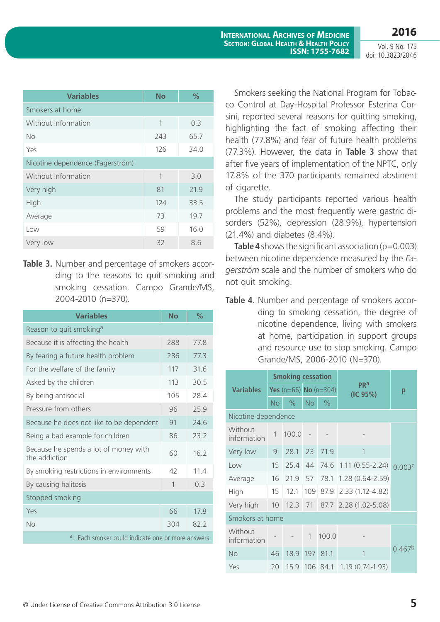**International Archives of Medicine Section: Global Health & Health Policy ISSN: 1755-7682**

Vol. 9 No. 175 doi: 10.3823/2046

**2016**

| <b>Variables</b>                 | <b>No</b> | %    |  |  |  |  |  |
|----------------------------------|-----------|------|--|--|--|--|--|
| Smokers at home                  |           |      |  |  |  |  |  |
| Without information              | 1         | 0.3  |  |  |  |  |  |
| <b>No</b>                        | 243       | 65.7 |  |  |  |  |  |
| Yes                              | 126       | 34.0 |  |  |  |  |  |
| Nicotine dependence (Fagerström) |           |      |  |  |  |  |  |
| Without information              | 1         | 3.0  |  |  |  |  |  |
| Very high                        | 81        | 21.9 |  |  |  |  |  |
| High                             | 124       | 33.5 |  |  |  |  |  |
| Average                          | 73        | 19.7 |  |  |  |  |  |
| Low                              | 59        | 16.0 |  |  |  |  |  |
| Very low                         | 32        | 8.6  |  |  |  |  |  |

**Table 3.** Number and percentage of smokers according to the reasons to quit smoking and smoking cessation. Campo Grande/MS, 2004-2010 (n=370).

| <b>Variables</b>                                               | <b>No</b> | $\frac{0}{2}$ |  |  |  |  |  |
|----------------------------------------------------------------|-----------|---------------|--|--|--|--|--|
| Reason to quit smoking <sup>a</sup>                            |           |               |  |  |  |  |  |
| Because it is affecting the health                             | 288       | 77.8          |  |  |  |  |  |
| By fearing a future health problem                             | 286       | 77.3          |  |  |  |  |  |
| For the welfare of the family                                  | 117       | 31.6          |  |  |  |  |  |
| Asked by the children                                          | 113       | 30.5          |  |  |  |  |  |
| By being antisocial                                            | 105       | 28.4          |  |  |  |  |  |
| Pressure from others                                           | 96        | 25.9          |  |  |  |  |  |
| Because he does not like to be dependent                       | 91        | 24.6          |  |  |  |  |  |
| Being a bad example for children                               | 86        | 23.2          |  |  |  |  |  |
| Because he spends a lot of money with<br>the addiction         | 60        | 16.2          |  |  |  |  |  |
| By smoking restrictions in environments                        | 42        | 11.4          |  |  |  |  |  |
| By causing halitosis                                           | 1         | 0.3           |  |  |  |  |  |
| Stopped smoking                                                |           |               |  |  |  |  |  |
| Yes                                                            | 66        | 17.8          |  |  |  |  |  |
| No                                                             | 304       | 82.2          |  |  |  |  |  |
| <sup>a</sup> : Each smoker could indicate one or more answers. |           |               |  |  |  |  |  |

Smokers seeking the National Program for Tobacco Control at Day-Hospital Professor Esterina Corsini, reported several reasons for quitting smoking, highlighting the fact of smoking affecting their health (77.8%) and fear of future health problems (77.3%). However, the data in **Table 3** show that after five years of implementation of the NPTC, only 17.8% of the 370 participants remained abstinent of cigarette.

The study participants reported various health problems and the most frequently were gastric disorders (52%), depression (28.9%), hypertension (21.4%) and diabetes (8.4%).

**Table 4** shows the significant association (p=0.003) between nicotine dependence measured by the *Fagerström* scale and the number of smokers who do not quit smoking.

**Table 4.** Number and percentage of smokers according to smoking cessation, the degree of nicotine dependence, living with smokers at home, participation in support groups and resource use to stop smoking. Campo Grande/MS, 2006-2010 (N=370).

|                         | <b>Smoking cessation</b> |               |                           |          |                        |                    |
|-------------------------|--------------------------|---------------|---------------------------|----------|------------------------|--------------------|
| <b>Variables</b>        |                          |               | Yes $(n=66)$ No $(n=304)$ |          | <b>PRa</b><br>(IC 95%) | р                  |
|                         | No.                      | $\frac{0}{0}$ | <b>No</b>                 | $\%$     |                        |                    |
| Nicotine dependence     |                          |               |                           |          |                        |                    |
| Without<br>information  | 1                        | 100.0         |                           |          |                        |                    |
| Very low                | 9                        | 28.1          | 23                        | 71.9     | 1                      |                    |
| $\overline{\text{low}}$ | 15                       | 25.4          | 44                        | 74.6     | $1.11(0.55 - 2.24)$    | 0.003 <sup>c</sup> |
| Average                 | 16                       | 21.9          | 57                        | 78.1     | $1.28(0.64 - 2.59)$    |                    |
| High                    | 15                       | 12.1          | 109                       | 87.9     | $2.33(1.12 - 4.82)$    |                    |
| Very high               | 10                       | 12.3          | 71                        |          | 87.7 2.28 (1.02-5.08)  |                    |
| Smokers at home         |                          |               |                           |          |                        |                    |
| Without<br>information  |                          |               | $\mathbf{1}$              | 100.0    |                        |                    |
| <b>No</b>               | 46                       | 18.9          | 197                       | 81.1     | 1                      | 0.467 <sup>b</sup> |
| Yes                     | 20                       | 15.9          |                           | 106 84.1 | $1.19(0.74 - 1.93)$    |                    |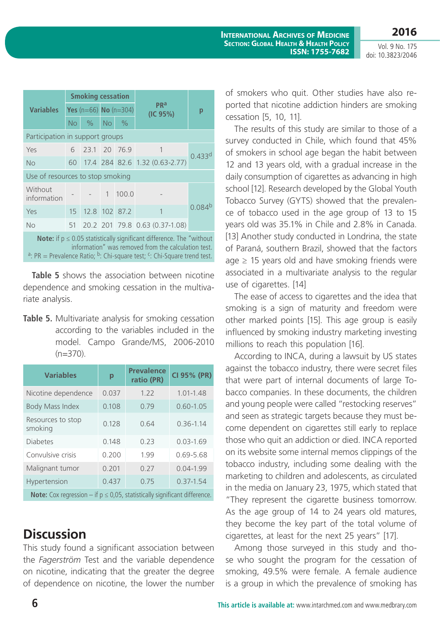Vol. 9 No. 175 doi: 10.3823/2046

|                                                                                                                                                                                                                                                        | <b>Smoking cessation</b> |               |                       |       |                                    |                      |  |
|--------------------------------------------------------------------------------------------------------------------------------------------------------------------------------------------------------------------------------------------------------|--------------------------|---------------|-----------------------|-------|------------------------------------|----------------------|--|
| <b>Variables</b>                                                                                                                                                                                                                                       |                          |               | Yes (n=66) No (n=304) |       | <b>PR</b> <sup>a</sup><br>(IC 95%) | р                    |  |
|                                                                                                                                                                                                                                                        | No                       | $\%$          | No                    | $\%$  |                                    |                      |  |
| Participation in support groups                                                                                                                                                                                                                        |                          |               |                       |       |                                    |                      |  |
| Yes                                                                                                                                                                                                                                                    | 6                        | 23.1 20 76.9  |                       |       | 1                                  |                      |  |
| <b>No</b>                                                                                                                                                                                                                                              |                          |               |                       |       | 60 17.4 284 82.6 1.32 (0.63-2.77)  | $0.433$ <sup>d</sup> |  |
| Use of resources to stop smoking                                                                                                                                                                                                                       |                          |               |                       |       |                                    |                      |  |
| Without<br>information                                                                                                                                                                                                                                 |                          |               | $\mathbf{1}$          | 100.0 |                                    |                      |  |
| Yes                                                                                                                                                                                                                                                    | 15                       | 12.8 102 87.2 |                       |       | 1                                  | 0.084 <sup>b</sup>   |  |
| No                                                                                                                                                                                                                                                     | 51                       |               |                       |       | 20.2 201 79.8 0.63 (0.37-1.08)     |                      |  |
| <b>Note:</b> if $p \le 0.05$ statistically significant difference. The "without"<br>information" was removed from the calculation test.<br><sup>a</sup> : PR = Prevalence Ratio; <sup>b</sup> : Chi-square test; <sup>c</sup> : Chi-Square trend test. |                          |               |                       |       |                                    |                      |  |

**Table 5** shows the association between nicotine dependence and smoking cessation in the multivariate analysis.

**Table 5.** Multivariate analysis for smoking cessation according to the variables included in the model. Campo Grande/MS, 2006-2010 (n=370).

| <b>Variables</b>                                                                      | p     | <b>Prevalence</b><br>ratio (PR) | CI 95% (PR)   |  |  |  |
|---------------------------------------------------------------------------------------|-------|---------------------------------|---------------|--|--|--|
| Nicotine dependence                                                                   | 0.037 | 1.22                            | $1.01 - 1.48$ |  |  |  |
| <b>Body Mass Index</b>                                                                | 0.108 | 0.79                            | $0.60 - 1.05$ |  |  |  |
| Resources to stop<br>smoking                                                          | 0.128 | 0.64                            | $0.36 - 1.14$ |  |  |  |
| <b>Diabetes</b>                                                                       | 0.148 | 0.23                            | $0.03 - 1.69$ |  |  |  |
| Convulsive crisis                                                                     | 0.200 | 1.99                            | $0.69 - 5.68$ |  |  |  |
| Malignant tumor                                                                       | 0.201 | 0.27                            | $0.04 - 1.99$ |  |  |  |
| Hypertension                                                                          | 0.437 | 0.75                            | $0.37 - 1.54$ |  |  |  |
| <b>Note:</b> Cox regression – if $p \le 0.05$ , statistically significant difference. |       |                                 |               |  |  |  |

**Discussion**

This study found a significant association between the *Fagerström* Test and the variable dependence on nicotine, indicating that the greater the degree of dependence on nicotine, the lower the number of smokers who quit. Other studies have also reported that nicotine addiction hinders are smoking cessation [5, 10, 11].

The results of this study are similar to those of a survey conducted in Chile, which found that 45% of smokers in school age began the habit between 12 and 13 years old, with a gradual increase in the daily consumption of cigarettes as advancing in high school [12]. Research developed by the Global Youth Tobacco Survey (GYTS) showed that the prevalence of tobacco used in the age group of 13 to 15 years old was 35.1% in Chile and 2.8% in Canada. [13] Another study conducted in Londrina, the state of Paraná, southern Brazil, showed that the factors age  $\geq$  15 years old and have smoking friends were associated in a multivariate analysis to the regular use of cigarettes. [14]

The ease of access to cigarettes and the idea that smoking is a sign of maturity and freedom were other marked points [15]. This age group is easily influenced by smoking industry marketing investing millions to reach this population [16].

According to INCA, during a lawsuit by US states against the tobacco industry, there were secret files that were part of internal documents of large Tobacco companies. In these documents, the children and young people were called "restocking reserves" and seen as strategic targets because they must become dependent on cigarettes still early to replace those who quit an addiction or died. INCA reported on its website some internal memos clippings of the tobacco industry, including some dealing with the marketing to children and adolescents, as circulated in the media on January 23, 1975, which stated that "They represent the cigarette business tomorrow. As the age group of 14 to 24 years old matures, they become the key part of the total volume of cigarettes, at least for the next 25 years" [17].

Among those surveyed in this study and those who sought the program for the cessation of smoking, 49.5% were female. A female audience is a group in which the prevalence of smoking has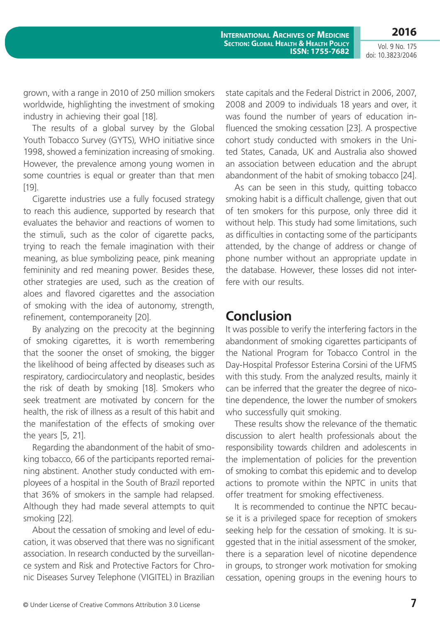Vol. 9 No. 175 doi: 10.3823/2046

**2016**

grown, with a range in 2010 of 250 million smokers worldwide, highlighting the investment of smoking industry in achieving their goal [18].

The results of a global survey by the Global Youth Tobacco Survey (GYTS), WHO initiative since 1998, showed a feminization increasing of smoking. However, the prevalence among young women in some countries is equal or greater than that men [19].

Cigarette industries use a fully focused strategy to reach this audience, supported by research that evaluates the behavior and reactions of women to the stimuli, such as the color of cigarette packs, trying to reach the female imagination with their meaning, as blue symbolizing peace, pink meaning femininity and red meaning power. Besides these, other strategies are used, such as the creation of aloes and flavored cigarettes and the association of smoking with the idea of autonomy, strength, refinement, contemporaneity [20].

By analyzing on the precocity at the beginning of smoking cigarettes, it is worth remembering that the sooner the onset of smoking, the bigger the likelihood of being affected by diseases such as respiratory, cardiocirculatory and neoplastic, besides the risk of death by smoking [18]. Smokers who seek treatment are motivated by concern for the health, the risk of illness as a result of this habit and the manifestation of the effects of smoking over the years [5, 21].

Regarding the abandonment of the habit of smoking tobacco, 66 of the participants reported remaining abstinent. Another study conducted with employees of a hospital in the South of Brazil reported that 36% of smokers in the sample had relapsed. Although they had made several attempts to quit smoking [22].

About the cessation of smoking and level of education, it was observed that there was no significant association. In research conducted by the surveillance system and Risk and Protective Factors for Chronic Diseases Survey Telephone (VIGITEL) in Brazilian state capitals and the Federal District in 2006, 2007, 2008 and 2009 to individuals 18 years and over, it was found the number of years of education influenced the smoking cessation [23]. A prospective cohort study conducted with smokers in the United States, Canada, UK and Australia also showed an association between education and the abrupt abandonment of the habit of smoking tobacco [24].

As can be seen in this study, quitting tobacco smoking habit is a difficult challenge, given that out of ten smokers for this purpose, only three did it without help. This study had some limitations, such as difficulties in contacting some of the participants attended, by the change of address or change of phone number without an appropriate update in the database. However, these losses did not interfere with our results.

### **Conclusion**

It was possible to verify the interfering factors in the abandonment of smoking cigarettes participants of the National Program for Tobacco Control in the Day-Hospital Professor Esterina Corsini of the UFMS with this study. From the analyzed results, mainly it can be inferred that the greater the degree of nicotine dependence, the lower the number of smokers who successfully quit smoking.

These results show the relevance of the thematic discussion to alert health professionals about the responsibility towards children and adolescents in the implementation of policies for the prevention of smoking to combat this epidemic and to develop actions to promote within the NPTC in units that offer treatment for smoking effectiveness.

It is recommended to continue the NPTC because it is a privileged space for reception of smokers seeking help for the cessation of smoking. It is suggested that in the initial assessment of the smoker, there is a separation level of nicotine dependence in groups, to stronger work motivation for smoking cessation, opening groups in the evening hours to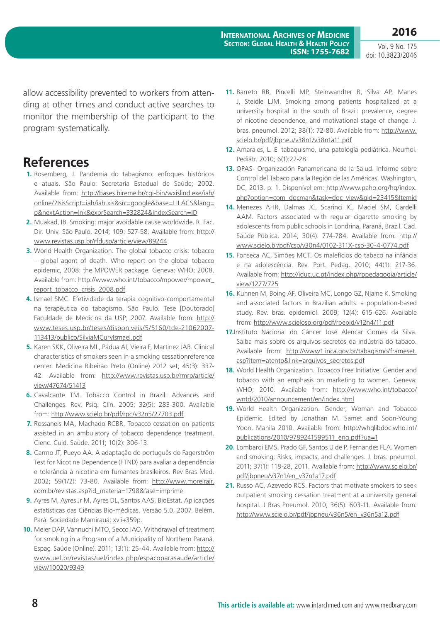Vol. 9 No. 175 doi: 10.3823/2046

allow accessibility prevented to workers from attending at other times and conduct active searches to monitor the membership of the participant to the program systematically.

### **References**

- **1.** Rosemberg, J. Pandemia do tabagismo: enfoques históricos e atuais. São Paulo: Secretaria Estadual de Saúde; 2002. Available from: [http://bases.bireme.br/cgi-bin/wxislind.exe/iah/](http://bases.bireme.br/cgi-bin/wxislind.exe/iah/online/?IsisScript=iah/iah.xis&src=google&base=LILACS&lang=p&nextAction=lnk&exprSearch=332824&indexSearch=ID) [online/?IsisScript=iah/iah.xis&src=google&base=LILACS&lang=](http://bases.bireme.br/cgi-bin/wxislind.exe/iah/online/?IsisScript=iah/iah.xis&src=google&base=LILACS&lang=p&nextAction=lnk&exprSearch=332824&indexSearch=ID) [p&nextAction=lnk&exprSearch=332824&indexSearch=ID](http://bases.bireme.br/cgi-bin/wxislind.exe/iah/online/?IsisScript=iah/iah.xis&src=google&base=LILACS&lang=p&nextAction=lnk&exprSearch=332824&indexSearch=ID)
- **2.** Muakad, IB. Smoking: major avoidable cause worldwide. R. Fac. Dir. Univ. São Paulo. 2014; 109: 527-58. Available from: [http://](http://www.revistas.usp.br/rfdusp/article/view/89244) [www.revistas.usp.br/rfdusp/article/view/89244](http://www.revistas.usp.br/rfdusp/article/view/89244)
- **3.** World Health Organization. The global tobacco crisis: tobacco – global agent of death. Who report on the global tobacco epidemic, 2008: the MPOWER package. Geneva: WHO; 2008. Available from: [http://www.who.int/tobacco/mpower/mpower\\_](http://www.who.int/tobacco/mpower/mpower_report_tobacco_crisis_2008.pdf) [report\\_tobacco\\_crisis\\_2008.pdf](http://www.who.int/tobacco/mpower/mpower_report_tobacco_crisis_2008.pdf).
- **4.** Ismael SMC. Efetividade da terapia cognitivo-comportamental na terapêutica do tabagismo. São Paulo. Tese [Doutorado] Faculdade de Medicina da USP; 2007. Available from: http:// www.teses.usp.br/teses/disponiveis/5/5160/tde-21062007- 113413/publico/SilviaMCuryIsmael.pdf
- **5.** Karen SKK, Oliveira ML, Pádua AI, Vieira F, Martinez JAB. Clinical characteristics of smokers seen in a smoking cessationreference center. Medicina Ribeirão Preto (Online) 2012 set; 45(3): 337- 42. Available from: [http://www.revistas.usp.br/rmrp/article/](http://www.revistas.usp.br/rmrp/article/view/47674/51413) [view/47674/51413](http://www.revistas.usp.br/rmrp/article/view/47674/51413)
- **6.** Cavalcante TM. Tobacco Control in Brazil: Advances and Challenges. Rev. Psiq. Clín. 2005; 32(5): 283-300. Available from:<http://www.scielo.br/pdf/rpc/v32n5/27703.pdf>
- **7.** Rossaneis MA, Machado RCBR. Tobacco cessation on patients assisted in an ambulatory of tobacco dependence treatment. Cienc. Cuid. Saúde. 2011; 10(2): 306-13.
- **8.** Carmo JT, Pueyo AA. A adaptação do português do Fagerström Test for Nicotine Dependence (FTND) para avaliar a dependência e tolerância à nicotina em fumantes brasileiros. Rev Bras Med. 2002; 59(1/2): 73-80. Available from: [http://www.moreirajr.](http://www.moreirajr.com.br/revistas.asp?id_materia=1798&fase=imprime) [com.br/revistas.asp?id\\_materia=1798&fase=imprime](http://www.moreirajr.com.br/revistas.asp?id_materia=1798&fase=imprime)
- **9.** Ayres M, Ayres Jr M, Ayres DL, Santos AAS. BioEstat. Aplicações estatísticas das Ciências Bio-médicas. Versão 5.0. 2007. Belém, Pará: Sociedade Mamirauá; xvii+359p.
- **10.** Meier DAP, Vannuchi MTO, Secco IAO. Withdrawal of treatment for smoking in a Program of a Municipality of Northern Paraná. Espaç. Saúde (Online). 2011; 13(1): 25-44. Available from: [http://](http://www.uel.br/revistas/uel/index.php/espacoparasaude/article/view/10020/9349) [www.uel.br/revistas/uel/index.php/espacoparasaude/article/](http://www.uel.br/revistas/uel/index.php/espacoparasaude/article/view/10020/9349) [view/10020/9349](http://www.uel.br/revistas/uel/index.php/espacoparasaude/article/view/10020/9349)
- **11.** Barreto RB, Pincelli MP, Steinwandter R, Silva AP, Manes J, Steidle LJM. Smoking among patients hospitalized at a university hospital in the south of Brazil: prevalence, degree of nicotine dependence, and motivational stage of change. J. bras. pneumol. 2012; 38(1): 72-80. Available from: [http://www.](http://www.scielo.br/pdf/jbpneu/v38n1/v38n1a11.pdf) [scielo.br/pdf/jbpneu/v38n1/v38n1a11.pdf](http://www.scielo.br/pdf/jbpneu/v38n1/v38n1a11.pdf)
- **12.** Amarales, L. El tabaquismo, una patología pediátrica. Neumol. Pediátr. 2010; 6(1):22-28.
- **13.** OPAS- Organización Panamericana de la Salud. Informe sobre Control del Tabaco para la Región de las Américas. Washington, DC, 2013. p. 1. Disponível em: [http://www.paho.org/hq/index.](http://www.paho.org/hq/index.php?option=com_docman&task=doc_view&gid=23415&Itemid) [php?option=com\\_docman&task=doc\\_view&gid=23415&Itemid](http://www.paho.org/hq/index.php?option=com_docman&task=doc_view&gid=23415&Itemid)
- **14.** Menezes AHR, Dalmas JC, Scarinci IC, Maciel SM, Cardelli AAM. Factors associated with regular cigarette smoking by adolescents from public schools in Londrina, Paraná, Brazil. Cad. Saúde Pública. 2014; 30(4): 774-784. Available from: [http://](http://www.scielo.br/pdf/csp/v30n4/0102-311X-csp-30-4-0774.pdf) [www.scielo.br/pdf/csp/v30n4/0102-311X-csp-30-4-0774.pdf](http://www.scielo.br/pdf/csp/v30n4/0102-311X-csp-30-4-0774.pdf)
- **15.** Fonseca AC, Simões MCT. Os malefícios do tabaco na infância e na adolescência. Rev. Port. Pedag. 2010; 44(1): 217-36. Available from: [http://iduc.uc.pt/index.php/rppedagogia/article/](http://iduc.uc.pt/index.php/rppedagogia/article/view/1277/725) [view/1277/725](http://iduc.uc.pt/index.php/rppedagogia/article/view/1277/725)
- **16.** Kuhnen M, Boing AF, Oliveira MC, Longo GZ, Njaine K. Smoking and associated factors in Brazilian adults: a population-based study. Rev. bras. epidemiol. 2009; 12(4): 615-626. Available from:<http://www.scielosp.org/pdf/rbepid/v12n4/11.pdf>
- **17.**Instituto Nacional do Câncer José Alencar Gomes da Silva. Saiba mais sobre os arquivos secretos da indústria do tabaco. Available from: [http://www1.inca.gov.br/tabagismo/frameset.](http://www1.inca.gov.br/tabagismo/frameset.asp?item=atento&link=arquivos_secretos.pdf) [asp?item=atento&link=arquivos\\_secretos.pdf](http://www1.inca.gov.br/tabagismo/frameset.asp?item=atento&link=arquivos_secretos.pdf)
- **18.** World Health Organization. Tobacco Free Initiative: Gender and tobacco with an emphasis on marketing to women. Geneva: WHO; 2010. Available from: [http://www.who.int/tobacco/](http://www.who.int/tobacco/wntd/2010/announcement/en/index.html) [wntd/2010/announcement/en/index.html](http://www.who.int/tobacco/wntd/2010/announcement/en/index.html)
- **19.** World Health Organization. Gender, Woman and Tobacco Epidemic. Edited by Jonathan M. Samet and Soon-Young Yoon. Manila 2010. Available from: [http://whqlibdoc.who.int/](http://whqlibdoc.who.int/publications/2010/9789241599511_eng.pdf?ua=1) [publications/2010/9789241599511\\_eng.pdf?ua=1](http://whqlibdoc.who.int/publications/2010/9789241599511_eng.pdf?ua=1)
- **20.** Lombardi EMS, Prado GF, Santos U de P, Fernandes FLA. Women and smoking: Risks, impacts, and challenges. J. bras. pneumol. 2011; 37(1): 118-28, 2011. Available from: [http://www.scielo.br/](http://www.scielo.br/pdf/jbpneu/v37n1/en_v37n1a17.pdf) [pdf/jbpneu/v37n1/en\\_v37n1a17.pdf](http://www.scielo.br/pdf/jbpneu/v37n1/en_v37n1a17.pdf)
- **21.** Russo AC, Azevedo RCS. Factors that motivate smokers to seek outpatient smoking cessation treatment at a university general hospital. J Bras Pneumol. 2010; 36(5): 603-11. Available from: [http://www.scielo.br/pdf/jbpneu/v36n5/en\\_v36n5a12.pdf](http://www.scielo.br/pdf/jbpneu/v36n5/en_v36n5a12.pdf)